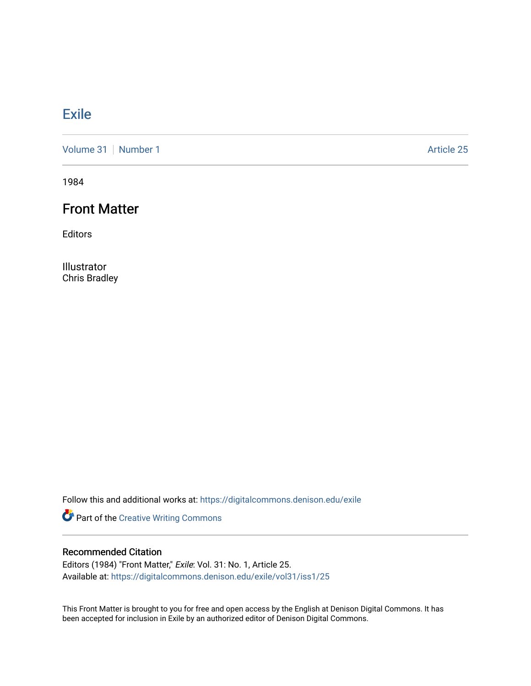### [Exile](https://digitalcommons.denison.edu/exile)

[Volume 31](https://digitalcommons.denison.edu/exile/vol31) [Number 1](https://digitalcommons.denison.edu/exile/vol31/iss1) Article 25

1984

#### Front Matter

Editors

Illustrator Chris Bradley

Follow this and additional works at: [https://digitalcommons.denison.edu/exile](https://digitalcommons.denison.edu/exile?utm_source=digitalcommons.denison.edu%2Fexile%2Fvol31%2Fiss1%2F25&utm_medium=PDF&utm_campaign=PDFCoverPages) 

Part of the [Creative Writing Commons](http://network.bepress.com/hgg/discipline/574?utm_source=digitalcommons.denison.edu%2Fexile%2Fvol31%2Fiss1%2F25&utm_medium=PDF&utm_campaign=PDFCoverPages) 

#### Recommended Citation

Editors (1984) "Front Matter," Exile: Vol. 31: No. 1, Article 25. Available at: [https://digitalcommons.denison.edu/exile/vol31/iss1/25](https://digitalcommons.denison.edu/exile/vol31/iss1/25?utm_source=digitalcommons.denison.edu%2Fexile%2Fvol31%2Fiss1%2F25&utm_medium=PDF&utm_campaign=PDFCoverPages)

This Front Matter is brought to you for free and open access by the English at Denison Digital Commons. It has been accepted for inclusion in Exile by an authorized editor of Denison Digital Commons.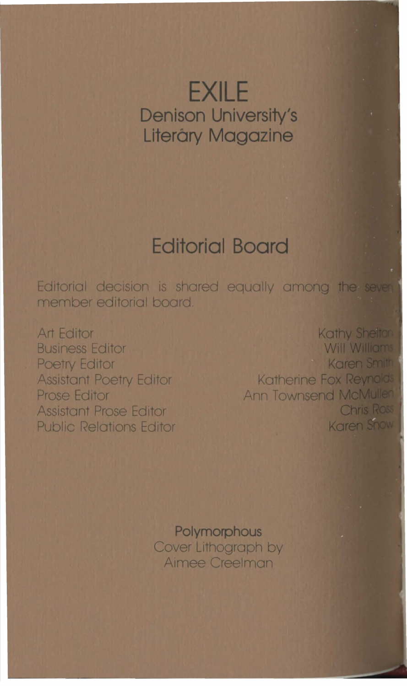# **EXILE Denison University's** Literáry Magazine

## **Editorial Board**

Editorial decision is shared equally among the sever member editorial board

**Art Editor Business Editor Poetry Editor Assistant Poetry Editor Prose Editor Assistant Prose Editor Public Relations Editor** 

Kathy Shelton Will Williams Karen Smith **Katherine Fox Reynolds Ann Townsend McMullen Chris Ross** Karen Show

Polymorphous Cover Lithograph by Aimee Creelman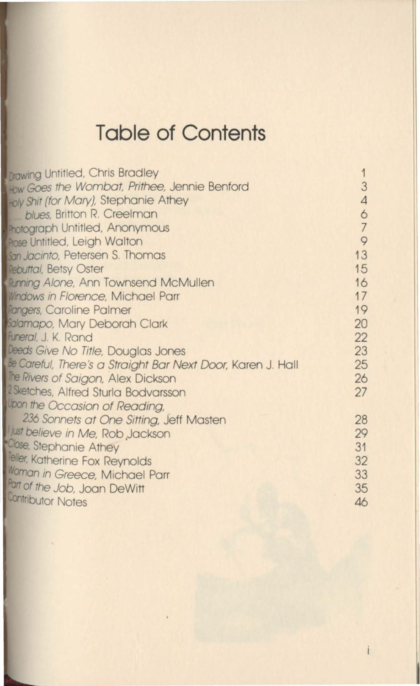# **Table of Contents**

| <b>Drawing Untitled, Chris Bradley</b>                     | 1              |
|------------------------------------------------------------|----------------|
| How Goes the Wombat, Prithee, Jennie Benford               | 3              |
| Holy Shit (for Mary), Stephanie Athey                      | $\overline{4}$ |
| blues, Britton R. Creelman                                 | 6              |
| <b>Inotograph Untitled, Anonymous</b>                      | $\overline{7}$ |
| Prose Untitled, Leigh Walton                               | $\circ$        |
| an Jacinto, Petersen S. Thomas                             | 13             |
| <b>Rebuttal, Betsy Oster</b>                               | 15             |
| <b>Running Alone, Ann Townsend McMullen</b>                | 16             |
| <b>Windows in Florence, Michael Parr</b>                   | 17             |
| <b>Rangers, Caroline Palmer</b>                            | 19             |
| ialamapo, Mary Deborah Clark                               | 20             |
| Funeral, J. K. Rand                                        | 22             |
| Deeds Give No Title, Douglas Jones                         | 23             |
| e Careful, There's a Straight Bar Next Door, Karen J. Hall | 25             |
| The Rivers of Saigon, Alex Dickson                         | 26             |
| Sketches, Alfred Sturla Bodvarsson                         | 27             |
| Joon the Occasion of Reading,                              |                |
| 236 Sonnets at One Sitting, Jeff Masten                    | 28             |
| just believe in Me, Rob Jackson                            | 29             |
| Close, Stephanie Athey                                     | 31             |
| eller, Katherine Fox Reynolds                              | 32             |
| Moman in Greece, Michael Parr                              | 33             |
| Part of the Job, Joan DeWitt                               | 35             |
| Contributor Notes                                          | 46             |
|                                                            |                |